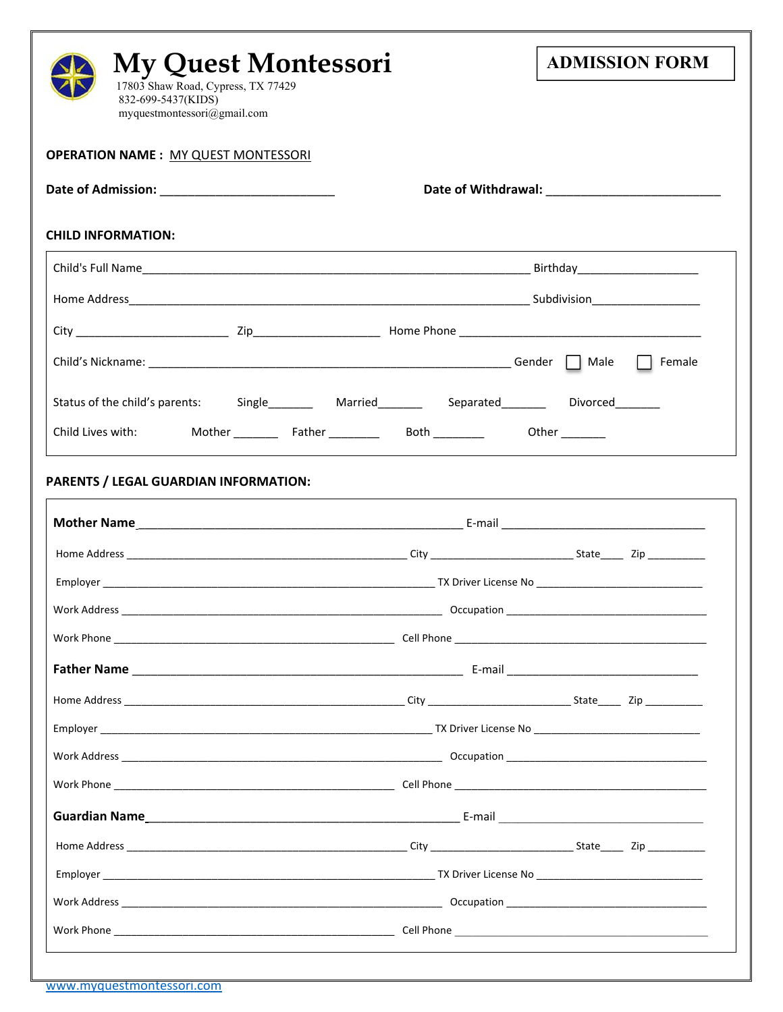| <b>My Quest Montessori</b>                                                                                     | <b>ADMISSION FORM</b> |
|----------------------------------------------------------------------------------------------------------------|-----------------------|
| 17803 Shaw Road, Cypress, TX 77429<br>832-699-5437(KIDS)<br>myquestmontessori@gmail.com                        |                       |
| <b>OPERATION NAME: MY QUEST MONTESSORI</b>                                                                     |                       |
|                                                                                                                |                       |
| <b>CHILD INFORMATION:</b>                                                                                      |                       |
|                                                                                                                |                       |
|                                                                                                                |                       |
|                                                                                                                |                       |
|                                                                                                                |                       |
| Status of the child's parents: Single Married Married Separated Married Separated Control Control of the child |                       |
|                                                                                                                |                       |
| <b>PARENTS / LEGAL GUARDIAN INFORMATION:</b>                                                                   |                       |
|                                                                                                                |                       |
|                                                                                                                |                       |
| Work Address                                                                                                   | <b>COCCUPATION</b>    |
|                                                                                                                |                       |
|                                                                                                                |                       |
|                                                                                                                |                       |
|                                                                                                                |                       |
|                                                                                                                |                       |
|                                                                                                                |                       |
|                                                                                                                |                       |
|                                                                                                                |                       |
|                                                                                                                |                       |
|                                                                                                                |                       |
|                                                                                                                |                       |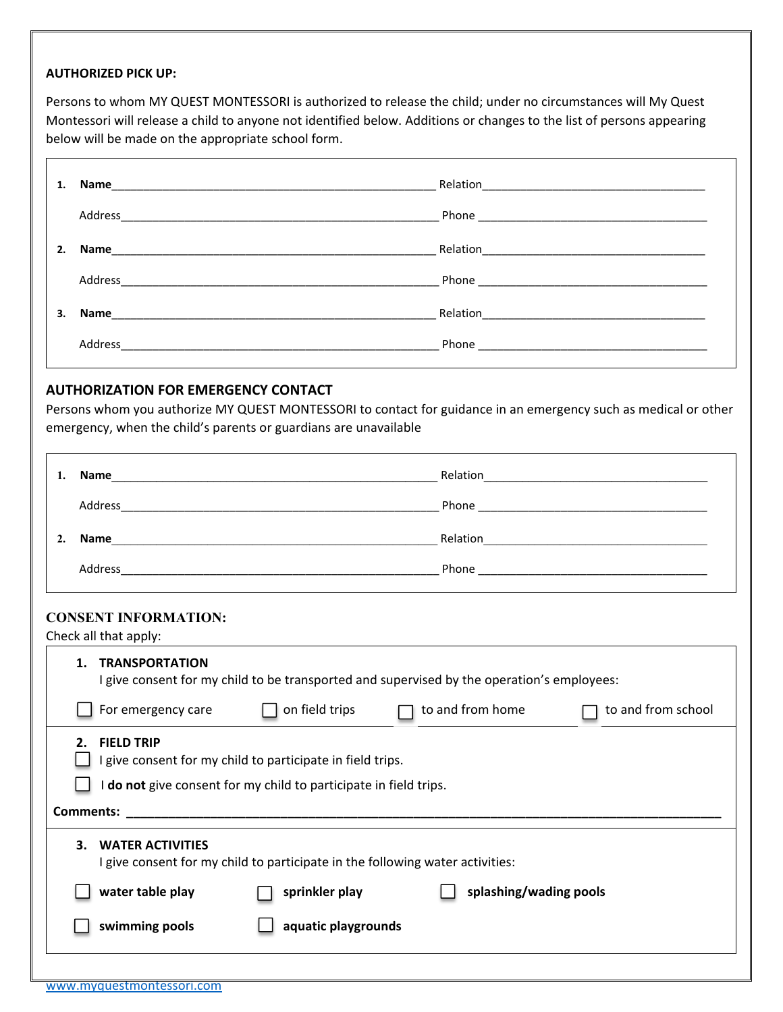# **AUTHORIZED PICK UP:**

 $\blacksquare$ 

Persons to whom MY QUEST MONTESSORI is authorized to release the child; under no circumstances will My Quest Montessori will release a child to anyone not identified below. Additions or changes to the list of persons appearing below will be made on the appropriate school form.

| 1. |                                                                                                                                                                                                                                | Relation <u>_________________________________</u> |
|----|--------------------------------------------------------------------------------------------------------------------------------------------------------------------------------------------------------------------------------|---------------------------------------------------|
|    | Address                                                                                                                                                                                                                        |                                                   |
| 2. |                                                                                                                                                                                                                                | Relation                                          |
|    | Address                                                                                                                                                                                                                        |                                                   |
| 3. | Name and the state of the state of the state of the state of the state of the state of the state of the state of the state of the state of the state of the state of the state of the state of the state of the state of the s | Relation                                          |
|    | Address                                                                                                                                                                                                                        | Phone                                             |

# **AUTHORIZATION FOR EMERGENCY CONTACT**

Persons whom you authorize MY QUEST MONTESSORI to contact for guidance in an emergency such as medical or other emergency, when the child's parents or guardians are unavailable

| Name    | Relation                                                                                 |
|---------|------------------------------------------------------------------------------------------|
| Address | Phone<br>the contract of the contract of the contract of the contract of the contract of |
| Name    |                                                                                          |
|         | Relation                                                                                 |

#### **CONSENT INFORMATION:**

Check all that apply:

| <b>TRANSPORTATION</b><br>1.<br>I give consent for my child to be transported and supervised by the operation's employees: |                                                                                                                                      |                  |                    |  |  |  |  |
|---------------------------------------------------------------------------------------------------------------------------|--------------------------------------------------------------------------------------------------------------------------------------|------------------|--------------------|--|--|--|--|
| For emergency care                                                                                                        | on field trips                                                                                                                       | to and from home | to and from school |  |  |  |  |
| <b>FIELD TRIP</b><br>2.<br><b>Comments:</b>                                                                               | I give consent for my child to participate in field trips.<br><b>do not</b> give consent for my child to participate in field trips. |                  |                    |  |  |  |  |
| <b>WATER ACTIVITIES</b><br>З.<br>I give consent for my child to participate in the following water activities:            |                                                                                                                                      |                  |                    |  |  |  |  |
| water table play                                                                                                          | sprinkler play<br>splashing/wading pools                                                                                             |                  |                    |  |  |  |  |
| swimming pools<br>aquatic playgrounds                                                                                     |                                                                                                                                      |                  |                    |  |  |  |  |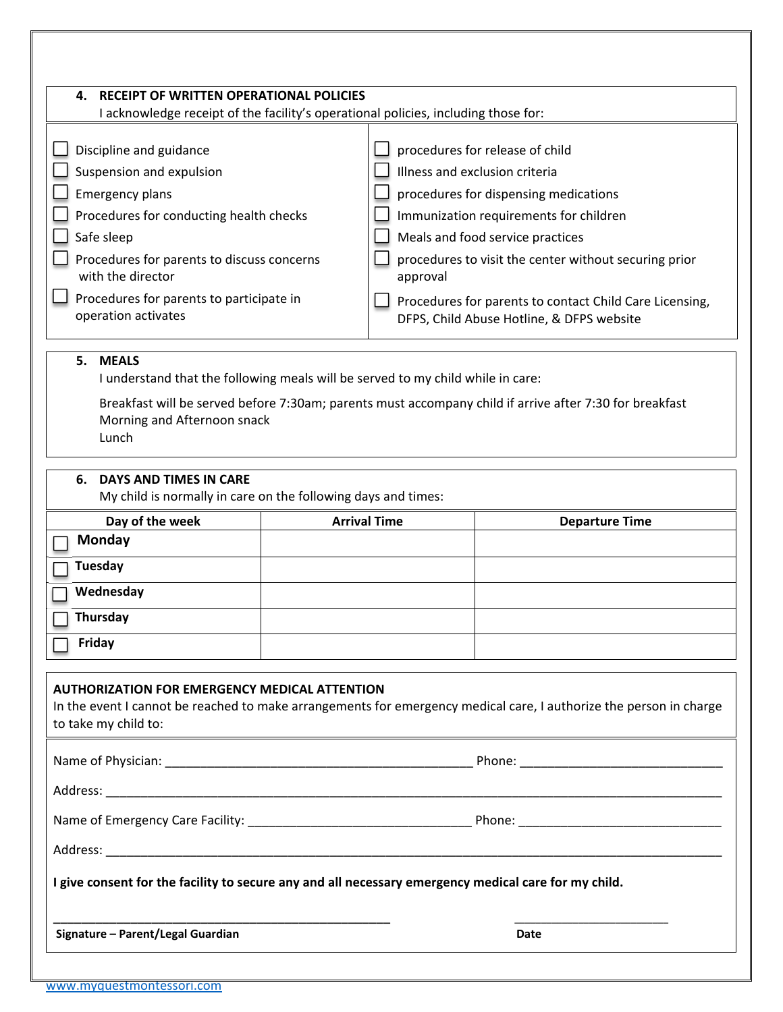| <b>RECEIPT OF WRITTEN OPERATIONAL POLICIES</b><br>4.<br>I acknowledge receipt of the facility's operational policies, including those for:                                                                                                                                   |  |                                                                                                                                                                                                                                                                                                                                                                       |                                                                                                                                                                                                                               |  |
|------------------------------------------------------------------------------------------------------------------------------------------------------------------------------------------------------------------------------------------------------------------------------|--|-----------------------------------------------------------------------------------------------------------------------------------------------------------------------------------------------------------------------------------------------------------------------------------------------------------------------------------------------------------------------|-------------------------------------------------------------------------------------------------------------------------------------------------------------------------------------------------------------------------------|--|
| Discipline and guidance<br>Suspension and expulsion<br><b>Emergency plans</b><br>Procedures for conducting health checks<br>Safe sleep<br>Procedures for parents to discuss concerns<br>with the director<br>Procedures for parents to participate in<br>operation activates |  | procedures for release of child<br>Illness and exclusion criteria<br>procedures for dispensing medications<br>Immunization requirements for children<br>Meals and food service practices<br>procedures to visit the center without securing prior<br>approval<br>Procedures for parents to contact Child Care Licensing,<br>DFPS, Child Abuse Hotline, & DFPS website |                                                                                                                                                                                                                               |  |
| 5. MEALS<br>I understand that the following meals will be served to my child while in care:<br>Breakfast will be served before 7:30am; parents must accompany child if arrive after 7:30 for breakfast<br>Morning and Afternoon snack<br>Lunch                               |  |                                                                                                                                                                                                                                                                                                                                                                       |                                                                                                                                                                                                                               |  |
| <b>DAYS AND TIMES IN CARE</b><br>6.<br>My child is normally in care on the following days and times:                                                                                                                                                                         |  |                                                                                                                                                                                                                                                                                                                                                                       |                                                                                                                                                                                                                               |  |
| Day of the week<br>Monday                                                                                                                                                                                                                                                    |  | <b>Arrival Time</b>                                                                                                                                                                                                                                                                                                                                                   | <b>Departure Time</b>                                                                                                                                                                                                         |  |
|                                                                                                                                                                                                                                                                              |  |                                                                                                                                                                                                                                                                                                                                                                       |                                                                                                                                                                                                                               |  |
|                                                                                                                                                                                                                                                                              |  |                                                                                                                                                                                                                                                                                                                                                                       |                                                                                                                                                                                                                               |  |
| <b>Tuesday</b><br>Wednesday                                                                                                                                                                                                                                                  |  |                                                                                                                                                                                                                                                                                                                                                                       |                                                                                                                                                                                                                               |  |
| Thursday                                                                                                                                                                                                                                                                     |  |                                                                                                                                                                                                                                                                                                                                                                       |                                                                                                                                                                                                                               |  |
| <b>Friday</b>                                                                                                                                                                                                                                                                |  |                                                                                                                                                                                                                                                                                                                                                                       |                                                                                                                                                                                                                               |  |
| <b>AUTHORIZATION FOR EMERGENCY MEDICAL ATTENTION</b><br>to take my child to:                                                                                                                                                                                                 |  |                                                                                                                                                                                                                                                                                                                                                                       | In the event I cannot be reached to make arrangements for emergency medical care, I authorize the person in charge                                                                                                            |  |
|                                                                                                                                                                                                                                                                              |  |                                                                                                                                                                                                                                                                                                                                                                       | Name of Physician: example, the contract of Physician: example, the contract of Physician: example, the contract of Physician and Theorem and Theorem and Theorem and Theorem and Theorem and Theorem and Theorem and Theorem |  |
|                                                                                                                                                                                                                                                                              |  |                                                                                                                                                                                                                                                                                                                                                                       |                                                                                                                                                                                                                               |  |
|                                                                                                                                                                                                                                                                              |  |                                                                                                                                                                                                                                                                                                                                                                       |                                                                                                                                                                                                                               |  |
|                                                                                                                                                                                                                                                                              |  |                                                                                                                                                                                                                                                                                                                                                                       |                                                                                                                                                                                                                               |  |
| I give consent for the facility to secure any and all necessary emergency medical care for my child.                                                                                                                                                                         |  |                                                                                                                                                                                                                                                                                                                                                                       |                                                                                                                                                                                                                               |  |
| Signature - Parent/Legal Guardian                                                                                                                                                                                                                                            |  |                                                                                                                                                                                                                                                                                                                                                                       | <b>Date</b>                                                                                                                                                                                                                   |  |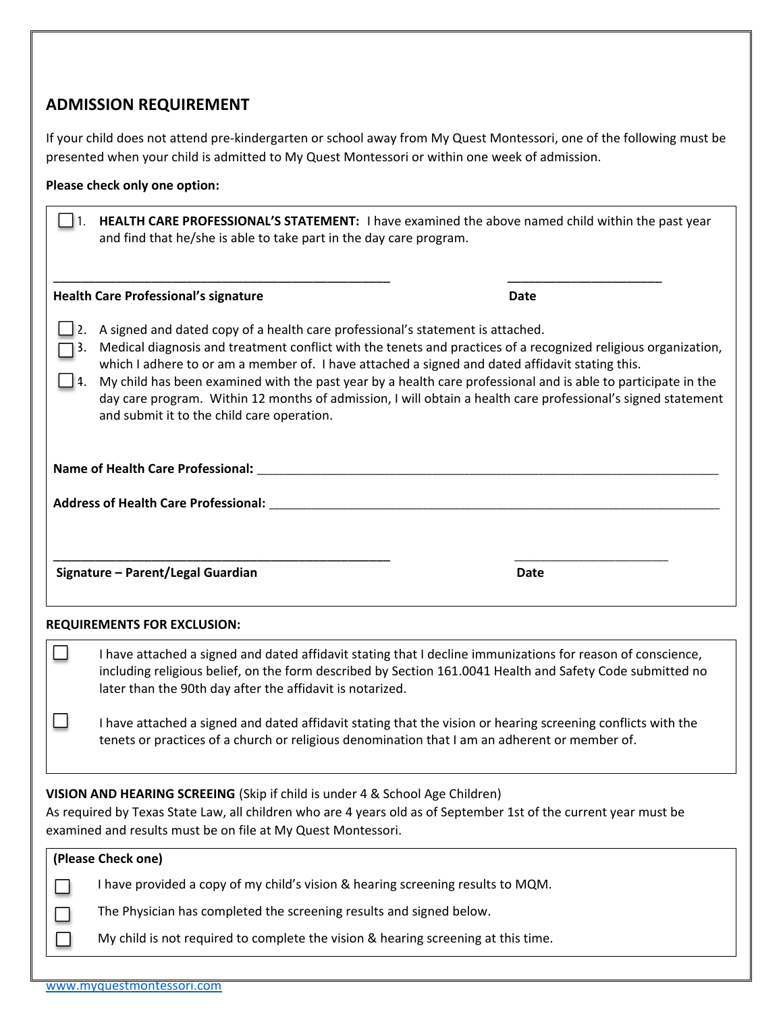# **ADMISSION REQUIREMENT**

If your child does not attend pre‐kindergarten or school away from My Quest Montessori, one of the following must be presented when your child is admitted to My Quest Montessori or within one week of admission.

## **Please check only one option:**

| and find that he/she is able to take part in the day care program.                                                                                                                                                                                                                                                                                                                                                                                                                                                                                                                 | HEALTH CARE PROFESSIONAL'S STATEMENT: I have examined the above named child within the past year |  |  |  |
|------------------------------------------------------------------------------------------------------------------------------------------------------------------------------------------------------------------------------------------------------------------------------------------------------------------------------------------------------------------------------------------------------------------------------------------------------------------------------------------------------------------------------------------------------------------------------------|--------------------------------------------------------------------------------------------------|--|--|--|
| <b>Health Care Professional's signature</b>                                                                                                                                                                                                                                                                                                                                                                                                                                                                                                                                        | Date                                                                                             |  |  |  |
| A signed and dated copy of a health care professional's statement is attached.<br>Medical diagnosis and treatment conflict with the tenets and practices of a recognized religious organization,<br>which I adhere to or am a member of. I have attached a signed and dated affidavit stating this.<br>My child has been examined with the past year by a health care professional and is able to participate in the<br>day care program. Within 12 months of admission, I will obtain a health care professional's signed statement<br>and submit it to the child care operation. |                                                                                                  |  |  |  |
|                                                                                                                                                                                                                                                                                                                                                                                                                                                                                                                                                                                    |                                                                                                  |  |  |  |
|                                                                                                                                                                                                                                                                                                                                                                                                                                                                                                                                                                                    |                                                                                                  |  |  |  |
|                                                                                                                                                                                                                                                                                                                                                                                                                                                                                                                                                                                    |                                                                                                  |  |  |  |
| Signature - Parent/Legal Guardian                                                                                                                                                                                                                                                                                                                                                                                                                                                                                                                                                  | Date                                                                                             |  |  |  |

**REQUIREMENTS FOR EXCLUSION:** 

 $\Box$ 

П I have attached a signed and dated affidavit stating that I decline immunizations for reason of conscience, including religious belief, on the form described by Section 161.0041 Health and Safety Code submitted no later than the 90th day after the affidavit is notarized.

I have attached a signed and dated affidavit stating that the vision or hearing screening conflicts with the tenets or practices of a church or religious denomination that I am an adherent or member of.

**VISION AND HEARING SCREEING** (Skip if child is under 4 & School Age Children)

As required by Texas State Law, all children who are 4 years old as of September 1st of the current year must be examined and results must be on file at My Quest Montessori.

| (Please Check one)                                                                |
|-----------------------------------------------------------------------------------|
| I have provided a copy of my child's vision & hearing screening results to MQM.   |
| The Physician has completed the screening results and signed below.               |
| My child is not required to complete the vision & hearing screening at this time. |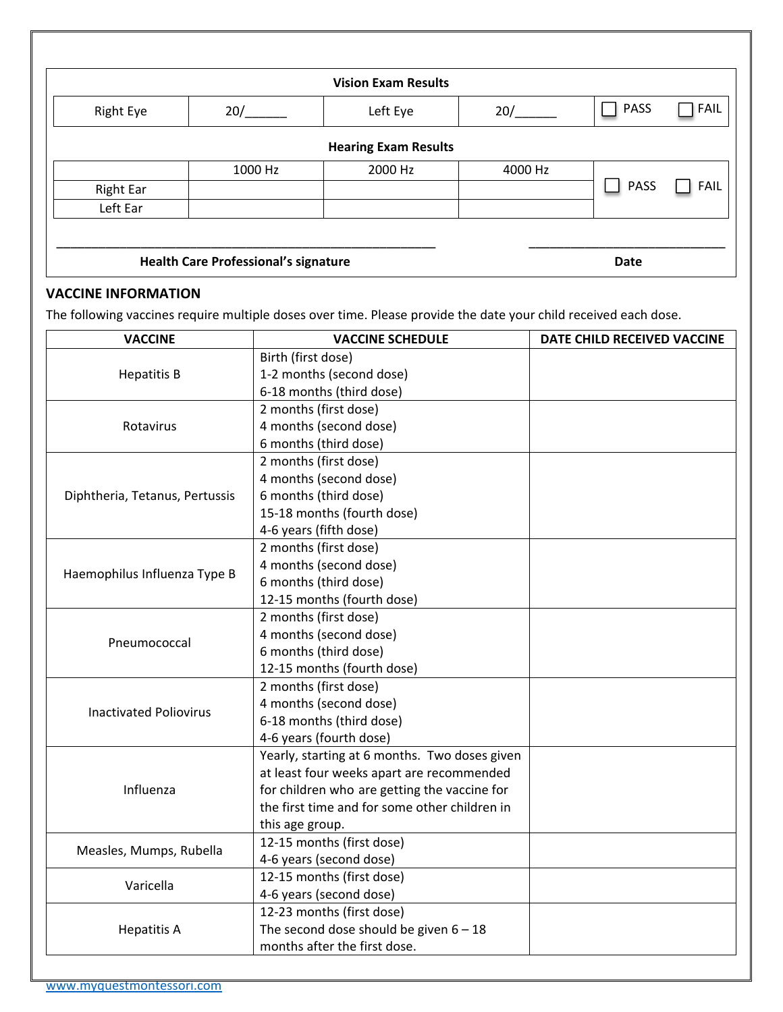|                  | <b>Vision Exam Results</b>                  |                             |         |             |             |  |
|------------------|---------------------------------------------|-----------------------------|---------|-------------|-------------|--|
| <b>Right Eye</b> | 20/                                         | Left Eye                    | 20/     | <b>PASS</b> | FAIL        |  |
|                  |                                             | <b>Hearing Exam Results</b> |         |             |             |  |
|                  | 1000 Hz                                     | 2000 Hz                     | 4000 Hz |             |             |  |
| <b>Right Ear</b> |                                             |                             |         | <b>PASS</b> | <b>FAIL</b> |  |
| Left Ear         |                                             |                             |         |             |             |  |
|                  |                                             |                             |         |             |             |  |
|                  | <b>Health Care Professional's signature</b> |                             |         |             |             |  |

# **VACCINE INFORMATION**

The following vaccines require multiple doses over time. Please provide the date your child received each dose.

| <b>VACCINE</b>                 | <b>VACCINE SCHEDULE</b>                       | DATE CHILD RECEIVED VACCINE |
|--------------------------------|-----------------------------------------------|-----------------------------|
|                                | Birth (first dose)                            |                             |
| <b>Hepatitis B</b>             | 1-2 months (second dose)                      |                             |
|                                | 6-18 months (third dose)                      |                             |
|                                | 2 months (first dose)                         |                             |
| Rotavirus                      | 4 months (second dose)                        |                             |
|                                | 6 months (third dose)                         |                             |
|                                | 2 months (first dose)                         |                             |
|                                | 4 months (second dose)                        |                             |
| Diphtheria, Tetanus, Pertussis | 6 months (third dose)                         |                             |
|                                | 15-18 months (fourth dose)                    |                             |
|                                | 4-6 years (fifth dose)                        |                             |
|                                | 2 months (first dose)                         |                             |
| Haemophilus Influenza Type B   | 4 months (second dose)                        |                             |
|                                | 6 months (third dose)                         |                             |
|                                | 12-15 months (fourth dose)                    |                             |
|                                | 2 months (first dose)                         |                             |
| Pneumococcal                   | 4 months (second dose)                        |                             |
|                                | 6 months (third dose)                         |                             |
|                                | 12-15 months (fourth dose)                    |                             |
|                                | 2 months (first dose)                         |                             |
| <b>Inactivated Poliovirus</b>  | 4 months (second dose)                        |                             |
|                                | 6-18 months (third dose)                      |                             |
|                                | 4-6 years (fourth dose)                       |                             |
|                                | Yearly, starting at 6 months. Two doses given |                             |
|                                | at least four weeks apart are recommended     |                             |
| Influenza                      | for children who are getting the vaccine for  |                             |
|                                | the first time and for some other children in |                             |
|                                | this age group.                               |                             |
| Measles, Mumps, Rubella        | 12-15 months (first dose)                     |                             |
|                                | 4-6 years (second dose)                       |                             |
| Varicella                      | 12-15 months (first dose)                     |                             |
|                                | 4-6 years (second dose)                       |                             |
|                                | 12-23 months (first dose)                     |                             |
| <b>Hepatitis A</b>             | The second dose should be given $6 - 18$      |                             |
|                                | months after the first dose.                  |                             |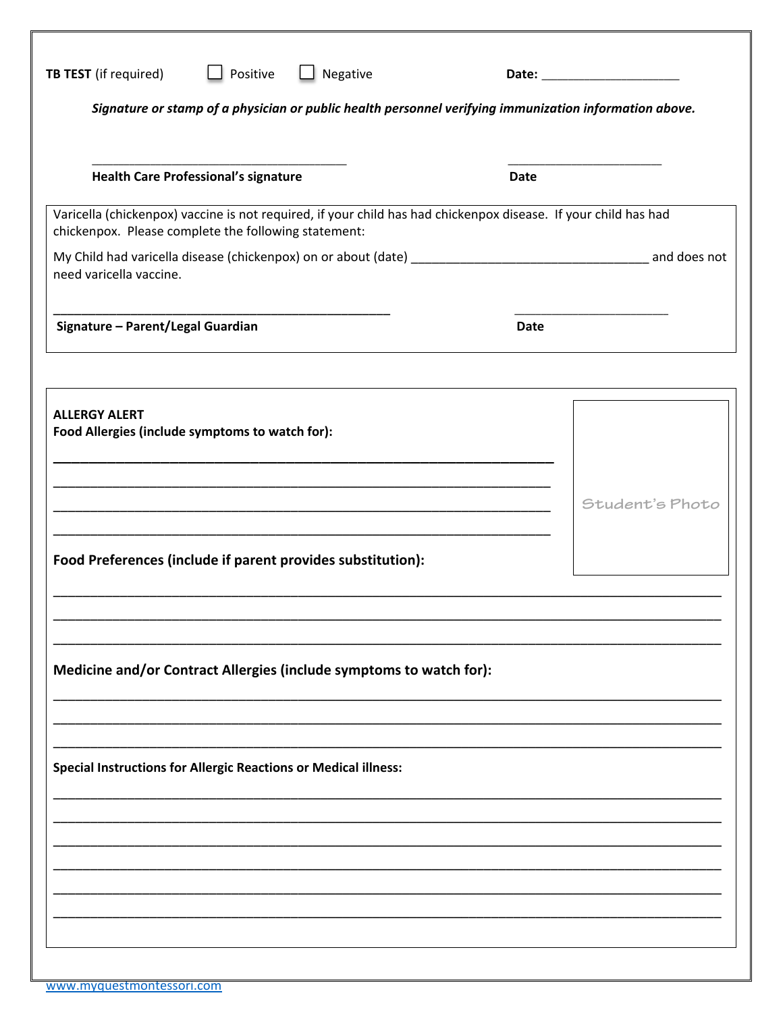| <b>TB TEST</b> (if required)                                           | Positive                                    | $\Box$ Negative                                                     |                                                                                                                 |                 |
|------------------------------------------------------------------------|---------------------------------------------|---------------------------------------------------------------------|-----------------------------------------------------------------------------------------------------------------|-----------------|
|                                                                        |                                             |                                                                     | Signature or stamp of a physician or public health personnel verifying immunization information above.          |                 |
|                                                                        |                                             |                                                                     |                                                                                                                 |                 |
|                                                                        | <b>Health Care Professional's signature</b> |                                                                     | Date                                                                                                            |                 |
| chickenpox. Please complete the following statement:                   |                                             |                                                                     | Varicella (chickenpox) vaccine is not required, if your child has had chickenpox disease. If your child has had |                 |
| need varicella vaccine.                                                |                                             |                                                                     |                                                                                                                 |                 |
| Signature - Parent/Legal Guardian                                      |                                             |                                                                     | <b>Date</b>                                                                                                     |                 |
| <b>ALLERGY ALERT</b>                                                   |                                             |                                                                     |                                                                                                                 |                 |
| Food Allergies (include symptoms to watch for):                        |                                             |                                                                     |                                                                                                                 |                 |
|                                                                        |                                             |                                                                     |                                                                                                                 |                 |
|                                                                        |                                             |                                                                     |                                                                                                                 | Student's Photo |
|                                                                        |                                             | Food Preferences (include if parent provides substitution):         |                                                                                                                 |                 |
|                                                                        |                                             |                                                                     |                                                                                                                 |                 |
|                                                                        |                                             | Medicine and/or Contract Allergies (include symptoms to watch for): |                                                                                                                 |                 |
|                                                                        |                                             |                                                                     |                                                                                                                 |                 |
|                                                                        |                                             |                                                                     |                                                                                                                 |                 |
| <b>Special Instructions for Allergic Reactions or Medical illness:</b> |                                             |                                                                     |                                                                                                                 |                 |
|                                                                        |                                             |                                                                     |                                                                                                                 |                 |
|                                                                        |                                             |                                                                     |                                                                                                                 |                 |
|                                                                        |                                             |                                                                     |                                                                                                                 |                 |
|                                                                        |                                             |                                                                     |                                                                                                                 |                 |